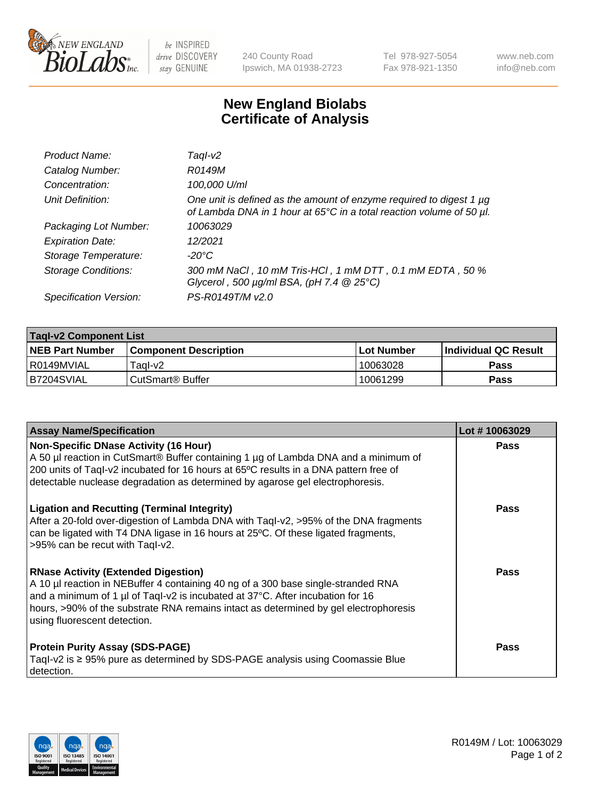

be INSPIRED drive DISCOVERY stay GENUINE

240 County Road Ipswich, MA 01938-2723 Tel 978-927-5054 Fax 978-921-1350 www.neb.com info@neb.com

## **New England Biolabs Certificate of Analysis**

| Product Name:              | Taql-v2                                                                                                                                     |
|----------------------------|---------------------------------------------------------------------------------------------------------------------------------------------|
| Catalog Number:            | R0149M                                                                                                                                      |
| Concentration:             | 100,000 U/ml                                                                                                                                |
| Unit Definition:           | One unit is defined as the amount of enzyme required to digest 1 µg<br>of Lambda DNA in 1 hour at 65°C in a total reaction volume of 50 µl. |
| Packaging Lot Number:      | 10063029                                                                                                                                    |
| <b>Expiration Date:</b>    | 12/2021                                                                                                                                     |
| Storage Temperature:       | $-20^{\circ}$ C                                                                                                                             |
| <b>Storage Conditions:</b> | 300 mM NaCl, 10 mM Tris-HCl, 1 mM DTT, 0.1 mM EDTA, 50 %<br>Glycerol, 500 $\mu$ g/ml BSA, (pH 7.4 $@25°C$ )                                 |
| Specification Version:     | PS-R0149T/M v2.0                                                                                                                            |

| <b>Tagl-v2 Component List</b> |                              |              |                             |  |  |
|-------------------------------|------------------------------|--------------|-----------------------------|--|--|
| <b>NEB Part Number</b>        | <b>Component Description</b> | l Lot Number | <b>Individual QC Result</b> |  |  |
| l R0149MVIAL                  | Taɑl-v2                      | 10063028     | <b>Pass</b>                 |  |  |
| B7204SVIAL                    | l CutSmart® Buffer           | 10061299     | Pass                        |  |  |

| <b>Assay Name/Specification</b>                                                                                                                                                                                                                                                                                                           | Lot #10063029 |
|-------------------------------------------------------------------------------------------------------------------------------------------------------------------------------------------------------------------------------------------------------------------------------------------------------------------------------------------|---------------|
| <b>Non-Specific DNase Activity (16 Hour)</b><br>A 50 µl reaction in CutSmart® Buffer containing 1 µg of Lambda DNA and a minimum of<br>200 units of Taql-v2 incubated for 16 hours at 65°C results in a DNA pattern free of<br>detectable nuclease degradation as determined by agarose gel electrophoresis.                              | Pass          |
| <b>Ligation and Recutting (Terminal Integrity)</b><br>After a 20-fold over-digestion of Lambda DNA with Taql-v2, >95% of the DNA fragments<br>can be ligated with T4 DNA ligase in 16 hours at 25°C. Of these ligated fragments,<br>>95% can be recut with Tagl-v2.                                                                       | Pass          |
| <b>RNase Activity (Extended Digestion)</b><br>A 10 µl reaction in NEBuffer 4 containing 40 ng of a 300 base single-stranded RNA<br>and a minimum of 1 µl of Taql-v2 is incubated at 37°C. After incubation for 16<br>hours, >90% of the substrate RNA remains intact as determined by gel electrophoresis<br>using fluorescent detection. | Pass          |
| <b>Protein Purity Assay (SDS-PAGE)</b><br>Taql-v2 is ≥ 95% pure as determined by SDS-PAGE analysis using Coomassie Blue<br>detection.                                                                                                                                                                                                     | <b>Pass</b>   |